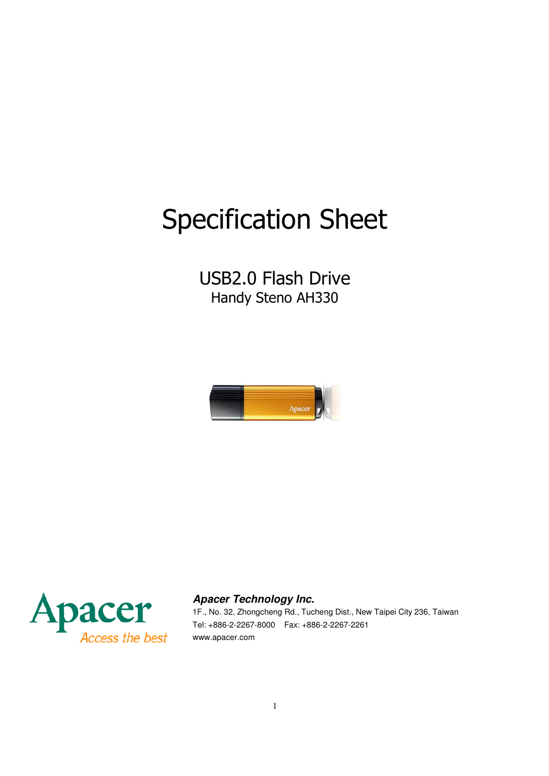# Specification Sheet

## USB2.0 Flash Drive Handy Steno AH330





#### Apacer Technology Inc. **Apacer Technology Inc.**

1F., No. 32, Zhongcheng Rd., Tucheng Dist., New Taipei City 236, Taiwan Tel: +886-2-2267-8000 Fax: +886-2-2267-2261 www.apacer.com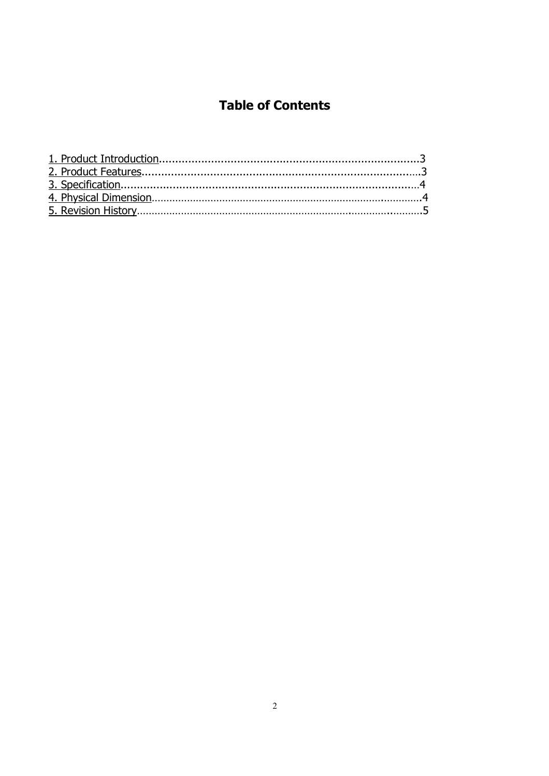### **Table of Contents**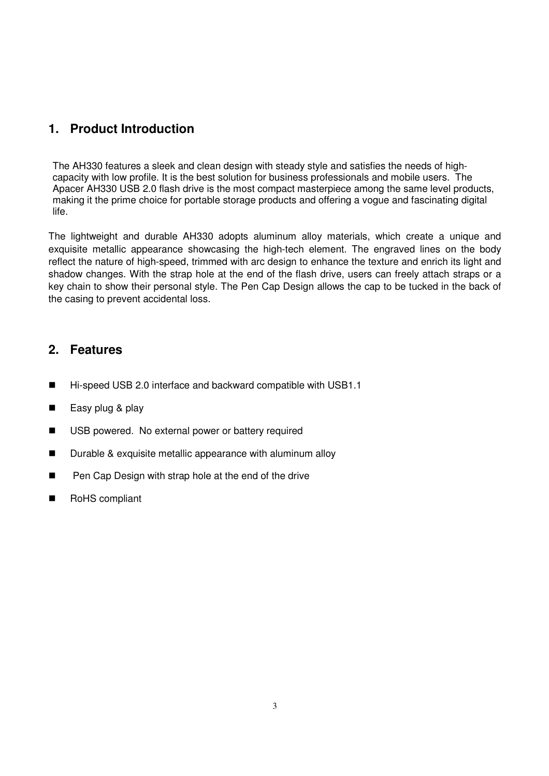#### **1. Product Introduction**

The AH330 features a sleek and clean design with steady style and satisfies the needs of highcapacity with low profile. It is the best solution for business professionals and mobile users. The Apacer AH330 USB 2.0 flash drive is the most compact masterpiece among the same level products, making it the prime choice for portable storage products and offering a vogue and fascinating digital life.

The lightweight and durable AH330 adopts aluminum alloy materials, which create a unique and exquisite metallic appearance showcasing the high-tech element. The engraved lines on the body reflect the nature of high-speed, trimmed with arc design to enhance the texture and enrich its light and shadow changes. With the strap hole at the end of the flash drive, users can freely attach straps or a key chain to show their personal style. The Pen Cap Design allows the cap to be tucked in the back of the casing to prevent accidental loss.

#### **2. Features**

- Hi-speed USB 2.0 interface and backward compatible with USB1.1
- $\blacksquare$  Easy plug & play
- USB powered. No external power or battery required
- **Durable & exquisite metallic appearance with aluminum alloy**
- **Pen Cap Design with strap hole at the end of the drive**
- RoHS compliant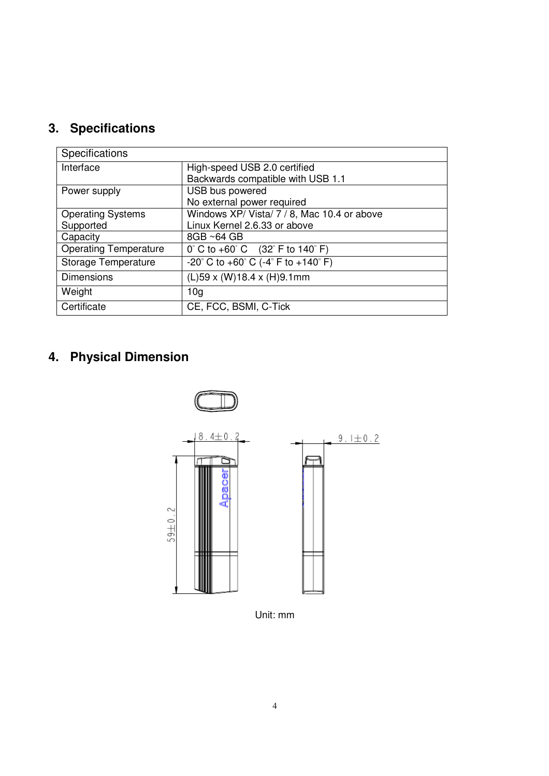## **3. Specifications**

| Specifications               |                                                                          |  |  |
|------------------------------|--------------------------------------------------------------------------|--|--|
| Interface                    | High-speed USB 2.0 certified                                             |  |  |
|                              | Backwards compatible with USB 1.1                                        |  |  |
| Power supply                 | USB bus powered                                                          |  |  |
|                              | No external power required                                               |  |  |
| <b>Operating Systems</b>     | Windows XP/ Vista/ 7 / 8, Mac 10.4 or above                              |  |  |
| Supported                    | Linux Kernel 2.6.33 or above                                             |  |  |
| Capacity                     | $8GB \sim 64 GB$                                                         |  |  |
| <b>Operating Temperature</b> | $0^{\circ}$ C to +60 $^{\circ}$ C (32 $^{\circ}$ F to 140 $^{\circ}$ F)  |  |  |
| Storage Temperature          | $-20^{\circ}$ C to $+60^{\circ}$ C ( $-4^{\circ}$ F to $+140^{\circ}$ F) |  |  |
| <b>Dimensions</b>            | $(L)$ 59 x (W)18.4 x (H)9.1mm                                            |  |  |
| Weight                       | 10 <sub>q</sub>                                                          |  |  |
| Certificate                  | CE, FCC, BSMI, C-Tick                                                    |  |  |

## **4. Physical Dimension**



Unit: mm